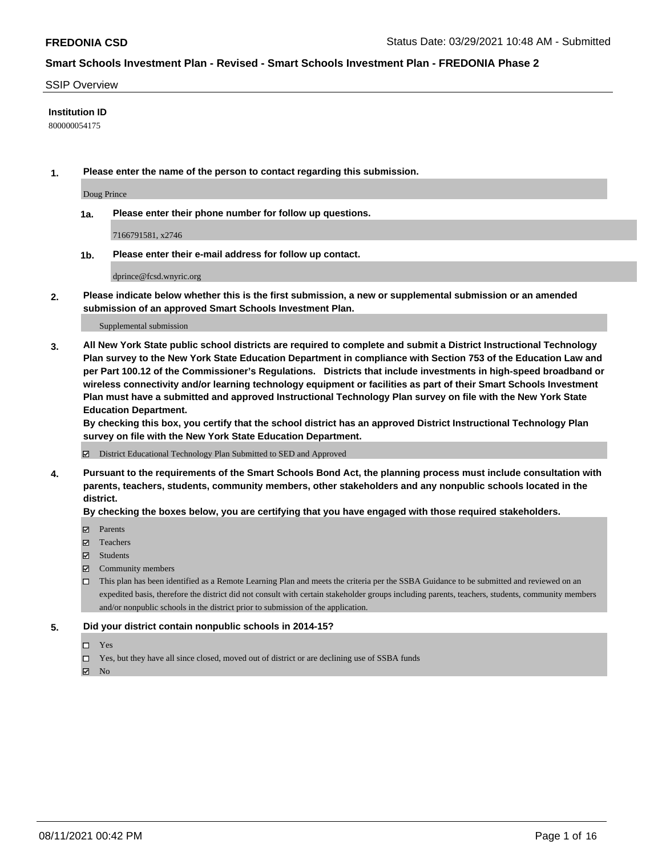#### SSIP Overview

### **Institution ID**

800000054175

**1. Please enter the name of the person to contact regarding this submission.**

Doug Prince

**1a. Please enter their phone number for follow up questions.**

7166791581, x2746

**1b. Please enter their e-mail address for follow up contact.**

dprince@fcsd.wnyric.org

**2. Please indicate below whether this is the first submission, a new or supplemental submission or an amended submission of an approved Smart Schools Investment Plan.**

#### Supplemental submission

**3. All New York State public school districts are required to complete and submit a District Instructional Technology Plan survey to the New York State Education Department in compliance with Section 753 of the Education Law and per Part 100.12 of the Commissioner's Regulations. Districts that include investments in high-speed broadband or wireless connectivity and/or learning technology equipment or facilities as part of their Smart Schools Investment Plan must have a submitted and approved Instructional Technology Plan survey on file with the New York State Education Department.** 

**By checking this box, you certify that the school district has an approved District Instructional Technology Plan survey on file with the New York State Education Department.**

District Educational Technology Plan Submitted to SED and Approved

**4. Pursuant to the requirements of the Smart Schools Bond Act, the planning process must include consultation with parents, teachers, students, community members, other stakeholders and any nonpublic schools located in the district.** 

### **By checking the boxes below, you are certifying that you have engaged with those required stakeholders.**

- **Parents**
- Teachers
- Students
- $\boxtimes$  Community members
- This plan has been identified as a Remote Learning Plan and meets the criteria per the SSBA Guidance to be submitted and reviewed on an expedited basis, therefore the district did not consult with certain stakeholder groups including parents, teachers, students, community members and/or nonpublic schools in the district prior to submission of the application.
- **5. Did your district contain nonpublic schools in 2014-15?**
	- □ Yes
	- □ Yes, but they have all since closed, moved out of district or are declining use of SSBA funds

 $M$  No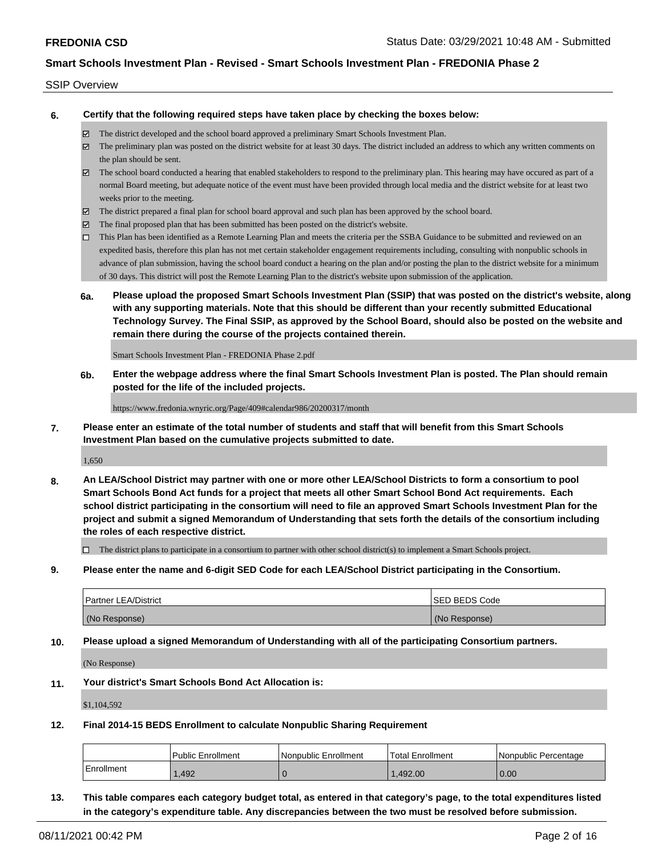#### SSIP Overview

**6. Certify that the following required steps have taken place by checking the boxes below:**

- The district developed and the school board approved a preliminary Smart Schools Investment Plan.
- The preliminary plan was posted on the district website for at least 30 days. The district included an address to which any written comments on the plan should be sent.
- The school board conducted a hearing that enabled stakeholders to respond to the preliminary plan. This hearing may have occured as part of a normal Board meeting, but adequate notice of the event must have been provided through local media and the district website for at least two weeks prior to the meeting.
- The district prepared a final plan for school board approval and such plan has been approved by the school board.
- $\boxtimes$  The final proposed plan that has been submitted has been posted on the district's website.
- This Plan has been identified as a Remote Learning Plan and meets the criteria per the SSBA Guidance to be submitted and reviewed on an expedited basis, therefore this plan has not met certain stakeholder engagement requirements including, consulting with nonpublic schools in advance of plan submission, having the school board conduct a hearing on the plan and/or posting the plan to the district website for a minimum of 30 days. This district will post the Remote Learning Plan to the district's website upon submission of the application.
- **6a. Please upload the proposed Smart Schools Investment Plan (SSIP) that was posted on the district's website, along with any supporting materials. Note that this should be different than your recently submitted Educational Technology Survey. The Final SSIP, as approved by the School Board, should also be posted on the website and remain there during the course of the projects contained therein.**

Smart Schools Investment Plan - FREDONIA Phase 2.pdf

**6b. Enter the webpage address where the final Smart Schools Investment Plan is posted. The Plan should remain posted for the life of the included projects.**

https://www.fredonia.wnyric.org/Page/409#calendar986/20200317/month

**7. Please enter an estimate of the total number of students and staff that will benefit from this Smart Schools Investment Plan based on the cumulative projects submitted to date.**

1,650

**8. An LEA/School District may partner with one or more other LEA/School Districts to form a consortium to pool Smart Schools Bond Act funds for a project that meets all other Smart School Bond Act requirements. Each school district participating in the consortium will need to file an approved Smart Schools Investment Plan for the project and submit a signed Memorandum of Understanding that sets forth the details of the consortium including the roles of each respective district.**

 $\Box$  The district plans to participate in a consortium to partner with other school district(s) to implement a Smart Schools project.

**9. Please enter the name and 6-digit SED Code for each LEA/School District participating in the Consortium.**

| <b>Partner LEA/District</b> | <b>ISED BEDS Code</b> |
|-----------------------------|-----------------------|
| (No Response)               | (No Response)         |

**10. Please upload a signed Memorandum of Understanding with all of the participating Consortium partners.**

(No Response)

**11. Your district's Smart Schools Bond Act Allocation is:**

\$1,104,592

**12. Final 2014-15 BEDS Enrollment to calculate Nonpublic Sharing Requirement**

|            | <b>Public Enrollment</b> | Nonpublic Enrollment | Total Enrollment | I Nonpublic Percentage |
|------------|--------------------------|----------------------|------------------|------------------------|
| Enrollment | .492                     |                      | .492.00          | 0.00                   |

**13. This table compares each category budget total, as entered in that category's page, to the total expenditures listed in the category's expenditure table. Any discrepancies between the two must be resolved before submission.**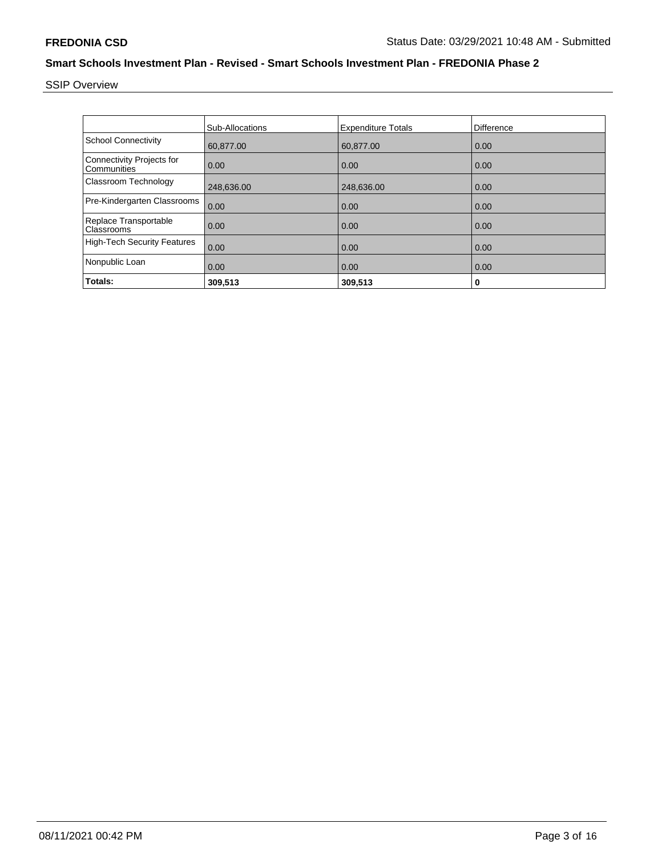SSIP Overview

|                                                 | Sub-Allocations | <b>Expenditure Totals</b> | <b>Difference</b> |
|-------------------------------------------------|-----------------|---------------------------|-------------------|
| <b>School Connectivity</b>                      | 60,877.00       | 60,877.00                 | 0.00              |
| <b>Connectivity Projects for</b><br>Communities | 0.00            | 0.00                      | 0.00              |
| <b>Classroom Technology</b>                     | 248,636.00      | 248,636.00                | 0.00              |
| Pre-Kindergarten Classrooms                     | 0.00            | 0.00                      | 0.00              |
| Replace Transportable<br>Classrooms             | 0.00            | 0.00                      | 0.00              |
| <b>High-Tech Security Features</b>              | 0.00            | 0.00                      | 0.00              |
| Nonpublic Loan                                  | 0.00            | 0.00                      | 0.00              |
| Totals:                                         | 309,513         | 309,513                   | 0                 |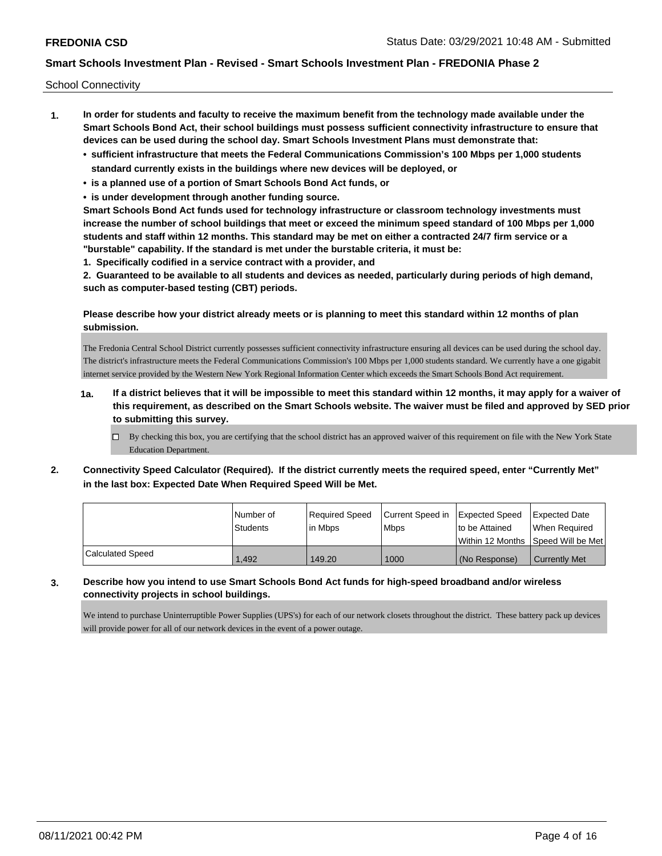School Connectivity

- **1. In order for students and faculty to receive the maximum benefit from the technology made available under the Smart Schools Bond Act, their school buildings must possess sufficient connectivity infrastructure to ensure that devices can be used during the school day. Smart Schools Investment Plans must demonstrate that:**
	- **• sufficient infrastructure that meets the Federal Communications Commission's 100 Mbps per 1,000 students standard currently exists in the buildings where new devices will be deployed, or**
	- **• is a planned use of a portion of Smart Schools Bond Act funds, or**
	- **• is under development through another funding source.**

**Smart Schools Bond Act funds used for technology infrastructure or classroom technology investments must increase the number of school buildings that meet or exceed the minimum speed standard of 100 Mbps per 1,000 students and staff within 12 months. This standard may be met on either a contracted 24/7 firm service or a "burstable" capability. If the standard is met under the burstable criteria, it must be:**

**1. Specifically codified in a service contract with a provider, and**

**2. Guaranteed to be available to all students and devices as needed, particularly during periods of high demand, such as computer-based testing (CBT) periods.**

### **Please describe how your district already meets or is planning to meet this standard within 12 months of plan submission.**

The Fredonia Central School District currently possesses sufficient connectivity infrastructure ensuring all devices can be used during the school day. The district's infrastructure meets the Federal Communications Commission's 100 Mbps per 1,000 students standard. We currently have a one gigabit internet service provided by the Western New York Regional Information Center which exceeds the Smart Schools Bond Act requirement.

- **1a. If a district believes that it will be impossible to meet this standard within 12 months, it may apply for a waiver of this requirement, as described on the Smart Schools website. The waiver must be filed and approved by SED prior to submitting this survey.**
	- $\Box$  By checking this box, you are certifying that the school district has an approved waiver of this requirement on file with the New York State Education Department.
- **2. Connectivity Speed Calculator (Required). If the district currently meets the required speed, enter "Currently Met" in the last box: Expected Date When Required Speed Will be Met.**

|                  | l Number of     | Required Speed | Current Speed in   Expected Speed |                                                       | Expected Date        |
|------------------|-----------------|----------------|-----------------------------------|-------------------------------------------------------|----------------------|
|                  | <b>Students</b> | l in Mbps      | <b>Mbps</b>                       | to be Attained<br>Within 12 Months 1Speed Will be Met | When Reauired        |
| Calculated Speed | 1.492           | 149.20         | 1000                              | (No Response)                                         | <b>Currently Met</b> |

# **3. Describe how you intend to use Smart Schools Bond Act funds for high-speed broadband and/or wireless connectivity projects in school buildings.**

We intend to purchase Uninterruptible Power Supplies (UPS's) for each of our network closets throughout the district. These battery pack up devices will provide power for all of our network devices in the event of a power outage.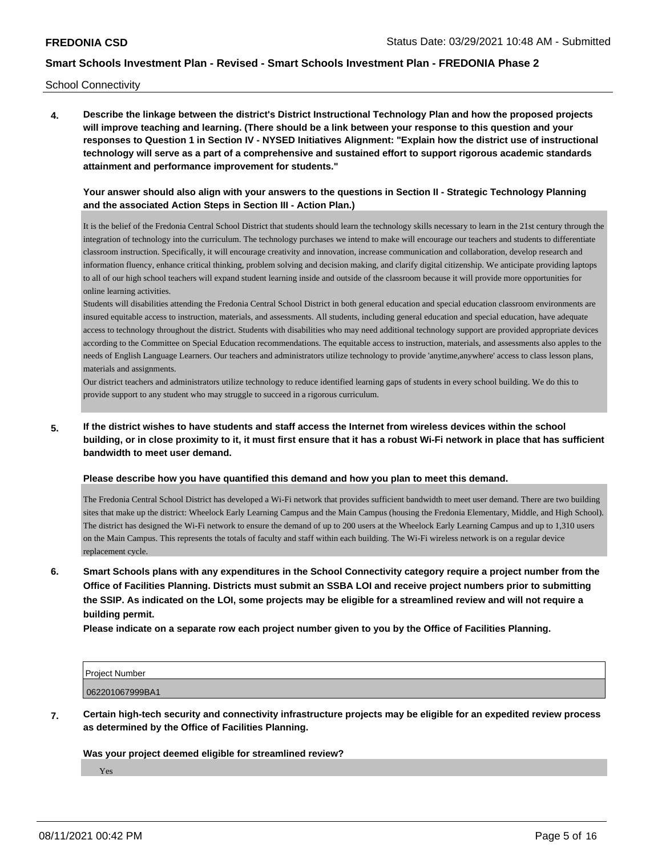School Connectivity

**4. Describe the linkage between the district's District Instructional Technology Plan and how the proposed projects will improve teaching and learning. (There should be a link between your response to this question and your responses to Question 1 in Section IV - NYSED Initiatives Alignment: "Explain how the district use of instructional technology will serve as a part of a comprehensive and sustained effort to support rigorous academic standards attainment and performance improvement for students."** 

### **Your answer should also align with your answers to the questions in Section II - Strategic Technology Planning and the associated Action Steps in Section III - Action Plan.)**

It is the belief of the Fredonia Central School District that students should learn the technology skills necessary to learn in the 21st century through the integration of technology into the curriculum. The technology purchases we intend to make will encourage our teachers and students to differentiate classroom instruction. Specifically, it will encourage creativity and innovation, increase communication and collaboration, develop research and information fluency, enhance critical thinking, problem solving and decision making, and clarify digital citizenship. We anticipate providing laptops to all of our high school teachers will expand student learning inside and outside of the classroom because it will provide more opportunities for online learning activities.

Students will disabilities attending the Fredonia Central School District in both general education and special education classroom environments are insured equitable access to instruction, materials, and assessments. All students, including general education and special education, have adequate access to technology throughout the district. Students with disabilities who may need additional technology support are provided appropriate devices according to the Committee on Special Education recommendations. The equitable access to instruction, materials, and assessments also apples to the needs of English Language Learners. Our teachers and administrators utilize technology to provide 'anytime,anywhere' access to class lesson plans, materials and assignments.

Our district teachers and administrators utilize technology to reduce identified learning gaps of students in every school building. We do this to provide support to any student who may struggle to succeed in a rigorous curriculum.

## **5. If the district wishes to have students and staff access the Internet from wireless devices within the school building, or in close proximity to it, it must first ensure that it has a robust Wi-Fi network in place that has sufficient bandwidth to meet user demand.**

#### **Please describe how you have quantified this demand and how you plan to meet this demand.**

The Fredonia Central School District has developed a Wi-Fi network that provides sufficient bandwidth to meet user demand. There are two building sites that make up the district: Wheelock Early Learning Campus and the Main Campus (housing the Fredonia Elementary, Middle, and High School). The district has designed the Wi-Fi network to ensure the demand of up to 200 users at the Wheelock Early Learning Campus and up to 1,310 users on the Main Campus. This represents the totals of faculty and staff within each building. The Wi-Fi wireless network is on a regular device replacement cycle.

**6. Smart Schools plans with any expenditures in the School Connectivity category require a project number from the Office of Facilities Planning. Districts must submit an SSBA LOI and receive project numbers prior to submitting the SSIP. As indicated on the LOI, some projects may be eligible for a streamlined review and will not require a building permit.**

**Please indicate on a separate row each project number given to you by the Office of Facilities Planning.**

| Project Number  |  |
|-----------------|--|
| 062201067999BA1 |  |

**7. Certain high-tech security and connectivity infrastructure projects may be eligible for an expedited review process as determined by the Office of Facilities Planning.**

**Was your project deemed eligible for streamlined review?**

Yes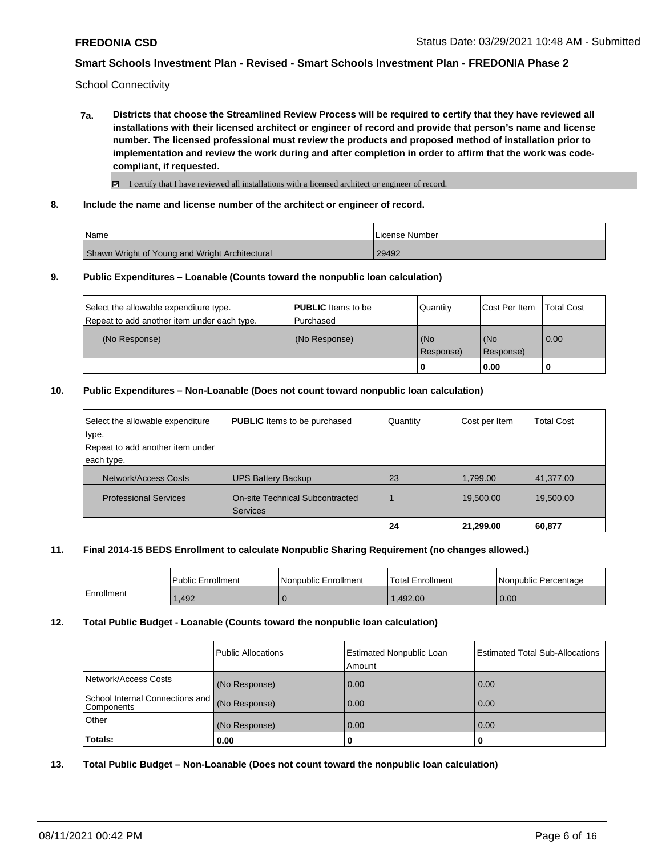School Connectivity

**7a. Districts that choose the Streamlined Review Process will be required to certify that they have reviewed all installations with their licensed architect or engineer of record and provide that person's name and license number. The licensed professional must review the products and proposed method of installation prior to implementation and review the work during and after completion in order to affirm that the work was codecompliant, if requested.**

 $\boxtimes$  I certify that I have reviewed all installations with a licensed architect or engineer of record.

**8. Include the name and license number of the architect or engineer of record.**

| Name                                           | <b>ILicense Number</b> |
|------------------------------------------------|------------------------|
| Shawn Wright of Young and Wright Architectural | 29492                  |

### **9. Public Expenditures – Loanable (Counts toward the nonpublic loan calculation)**

|                                                                                       |                                          | Response) | Response)<br>0.00 |                   |
|---------------------------------------------------------------------------------------|------------------------------------------|-----------|-------------------|-------------------|
| (No Response)                                                                         | (No Response)                            | (No       | l (No             | 0.00              |
| Select the allowable expenditure type.<br>Repeat to add another item under each type. | <b>PUBLIC</b> Items to be<br>l Purchased | Quantity  | Cost Per Item     | <b>Total Cost</b> |

### **10. Public Expenditures – Non-Loanable (Does not count toward nonpublic loan calculation)**

| Select the allowable expenditure | <b>PUBLIC</b> Items to be purchased                       | Quantity | Cost per Item | <b>Total Cost</b> |
|----------------------------------|-----------------------------------------------------------|----------|---------------|-------------------|
| type.                            |                                                           |          |               |                   |
| Repeat to add another item under |                                                           |          |               |                   |
| each type.                       |                                                           |          |               |                   |
| Network/Access Costs             | <b>UPS Battery Backup</b>                                 | 23       | 1,799.00      | 41,377.00         |
| <b>Professional Services</b>     | <b>On-site Technical Subcontracted</b><br><b>Services</b> |          | 19,500.00     | 19,500.00         |
|                                  |                                                           | 24       | 21,299.00     | 60,877            |

#### **11. Final 2014-15 BEDS Enrollment to calculate Nonpublic Sharing Requirement (no changes allowed.)**

|            | l Public Enrollment | Nonpublic Enrollment | <b>Total Enrollment</b> | l Nonpublic Percentage |
|------------|---------------------|----------------------|-------------------------|------------------------|
| Enrollment | .492                |                      | .492.00                 | 0.00                   |

#### **12. Total Public Budget - Loanable (Counts toward the nonpublic loan calculation)**

|                                                  | Public Allocations | <b>Estimated Nonpublic Loan</b><br>Amount | <b>Estimated Total Sub-Allocations</b> |
|--------------------------------------------------|--------------------|-------------------------------------------|----------------------------------------|
| Network/Access Costs                             | (No Response)      | 0.00                                      | 0.00                                   |
| School Internal Connections and   <br>Components | (No Response)      | 0.00                                      | 0.00                                   |
| Other                                            | (No Response)      | 0.00                                      | 0.00                                   |
| Totals:                                          | 0.00               |                                           |                                        |

**13. Total Public Budget – Non-Loanable (Does not count toward the nonpublic loan calculation)**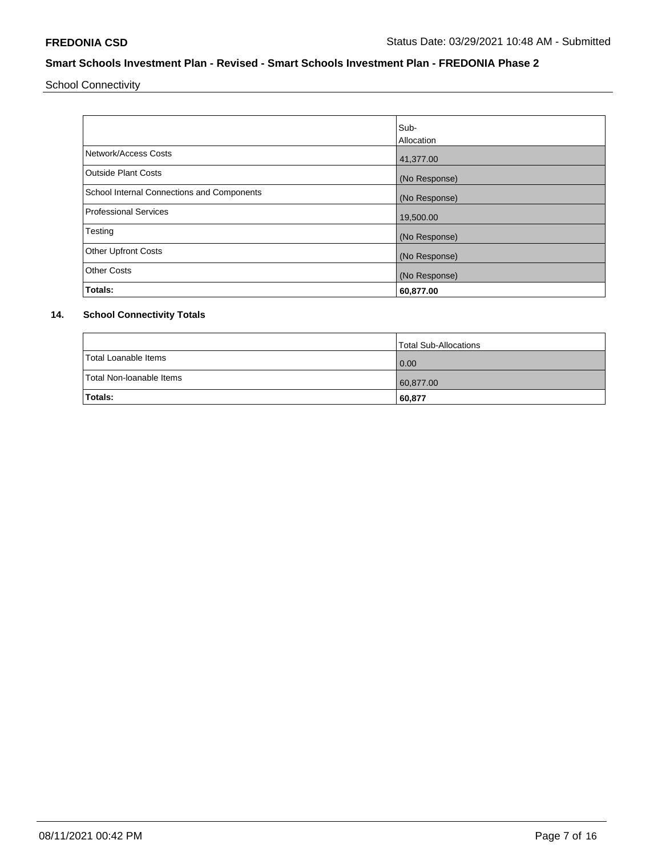School Connectivity

|                                            | lSub-<br><b>Allocation</b> |
|--------------------------------------------|----------------------------|
| Network/Access Costs                       | 41,377.00                  |
| <b>Outside Plant Costs</b>                 | (No Response)              |
| School Internal Connections and Components | (No Response)              |
| <b>Professional Services</b>               | 19,500.00                  |
| Testing                                    | (No Response)              |
| <b>Other Upfront Costs</b>                 | (No Response)              |
| <b>Other Costs</b>                         | (No Response)              |
| Totals:                                    | 60,877.00                  |

## **14. School Connectivity Totals**

|                          | Total Sub-Allocations |
|--------------------------|-----------------------|
| Total Loanable Items     | 0.00                  |
| Total Non-Ioanable Items | 60,877.00             |
| <b>Totals:</b>           | 60,877                |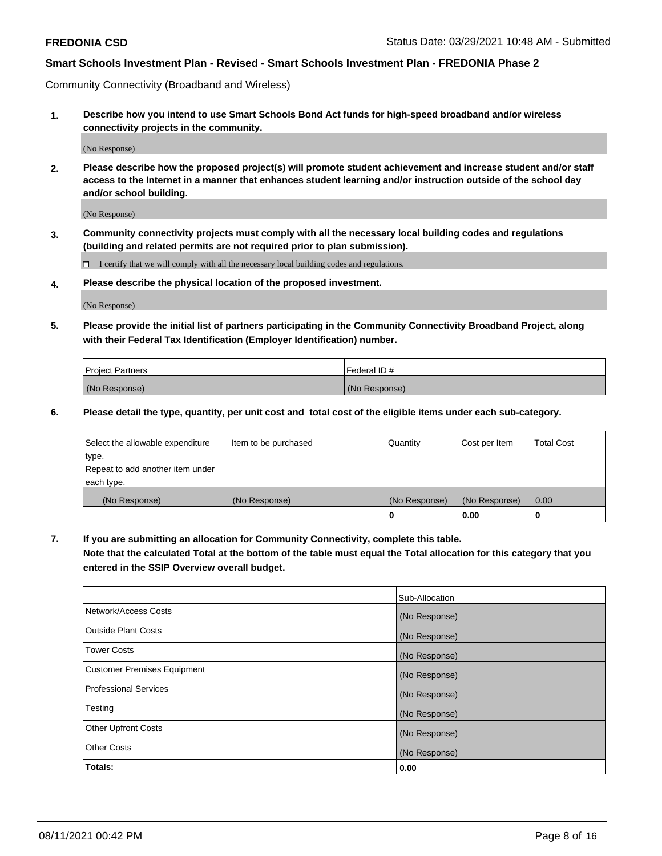Community Connectivity (Broadband and Wireless)

**1. Describe how you intend to use Smart Schools Bond Act funds for high-speed broadband and/or wireless connectivity projects in the community.**

(No Response)

**2. Please describe how the proposed project(s) will promote student achievement and increase student and/or staff access to the Internet in a manner that enhances student learning and/or instruction outside of the school day and/or school building.**

(No Response)

**3. Community connectivity projects must comply with all the necessary local building codes and regulations (building and related permits are not required prior to plan submission).**

 $\Box$  I certify that we will comply with all the necessary local building codes and regulations.

**4. Please describe the physical location of the proposed investment.**

(No Response)

**5. Please provide the initial list of partners participating in the Community Connectivity Broadband Project, along with their Federal Tax Identification (Employer Identification) number.**

| <b>Project Partners</b> | l Federal ID # |
|-------------------------|----------------|
| (No Response)           | (No Response)  |

**6. Please detail the type, quantity, per unit cost and total cost of the eligible items under each sub-category.**

| Select the allowable expenditure | Item to be purchased | Quantity      | Cost per Item | <b>Total Cost</b> |
|----------------------------------|----------------------|---------------|---------------|-------------------|
| type.                            |                      |               |               |                   |
| Repeat to add another item under |                      |               |               |                   |
| each type.                       |                      |               |               |                   |
| (No Response)                    | (No Response)        | (No Response) | (No Response) | 0.00              |
|                                  |                      | o             | 0.00          |                   |

**7. If you are submitting an allocation for Community Connectivity, complete this table.**

**Note that the calculated Total at the bottom of the table must equal the Total allocation for this category that you entered in the SSIP Overview overall budget.**

|                                    | Sub-Allocation |
|------------------------------------|----------------|
| Network/Access Costs               | (No Response)  |
| <b>Outside Plant Costs</b>         | (No Response)  |
| <b>Tower Costs</b>                 | (No Response)  |
| <b>Customer Premises Equipment</b> | (No Response)  |
| <b>Professional Services</b>       | (No Response)  |
| Testing                            | (No Response)  |
| <b>Other Upfront Costs</b>         | (No Response)  |
| <b>Other Costs</b>                 | (No Response)  |
| Totals:                            | 0.00           |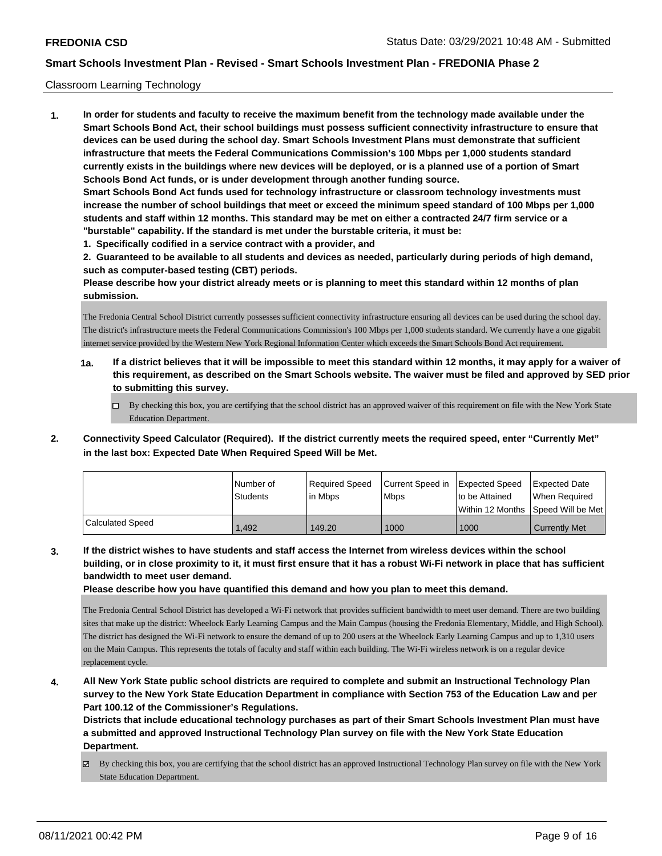#### Classroom Learning Technology

**1. In order for students and faculty to receive the maximum benefit from the technology made available under the Smart Schools Bond Act, their school buildings must possess sufficient connectivity infrastructure to ensure that devices can be used during the school day. Smart Schools Investment Plans must demonstrate that sufficient infrastructure that meets the Federal Communications Commission's 100 Mbps per 1,000 students standard currently exists in the buildings where new devices will be deployed, or is a planned use of a portion of Smart Schools Bond Act funds, or is under development through another funding source. Smart Schools Bond Act funds used for technology infrastructure or classroom technology investments must increase the number of school buildings that meet or exceed the minimum speed standard of 100 Mbps per 1,000 students and staff within 12 months. This standard may be met on either a contracted 24/7 firm service or a "burstable" capability. If the standard is met under the burstable criteria, it must be:**

**1. Specifically codified in a service contract with a provider, and**

**2. Guaranteed to be available to all students and devices as needed, particularly during periods of high demand, such as computer-based testing (CBT) periods.**

**Please describe how your district already meets or is planning to meet this standard within 12 months of plan submission.**

The Fredonia Central School District currently possesses sufficient connectivity infrastructure ensuring all devices can be used during the school day. The district's infrastructure meets the Federal Communications Commission's 100 Mbps per 1,000 students standard. We currently have a one gigabit internet service provided by the Western New York Regional Information Center which exceeds the Smart Schools Bond Act requirement.

- **1a. If a district believes that it will be impossible to meet this standard within 12 months, it may apply for a waiver of this requirement, as described on the Smart Schools website. The waiver must be filed and approved by SED prior to submitting this survey.**
	- By checking this box, you are certifying that the school district has an approved waiver of this requirement on file with the New York State Education Department.
- **2. Connectivity Speed Calculator (Required). If the district currently meets the required speed, enter "Currently Met" in the last box: Expected Date When Required Speed Will be Met.**

|                  | l Number of<br>Students | Required Speed<br>lin Mbps | Current Speed in Expected Speed<br><b>Mbps</b> | Ito be Attained  | Expected Date<br>When Reauired |
|------------------|-------------------------|----------------------------|------------------------------------------------|------------------|--------------------------------|
|                  |                         |                            |                                                | Within 12 Months | Speed Will be Met              |
| Calculated Speed | .492                    | 149.20                     | 1000                                           | 1000             | <b>Currently Met</b>           |

**3. If the district wishes to have students and staff access the Internet from wireless devices within the school building, or in close proximity to it, it must first ensure that it has a robust Wi-Fi network in place that has sufficient bandwidth to meet user demand.**

**Please describe how you have quantified this demand and how you plan to meet this demand.**

The Fredonia Central School District has developed a Wi-Fi network that provides sufficient bandwidth to meet user demand. There are two building sites that make up the district: Wheelock Early Learning Campus and the Main Campus (housing the Fredonia Elementary, Middle, and High School). The district has designed the Wi-Fi network to ensure the demand of up to 200 users at the Wheelock Early Learning Campus and up to 1,310 users on the Main Campus. This represents the totals of faculty and staff within each building. The Wi-Fi wireless network is on a regular device replacement cycle.

**4. All New York State public school districts are required to complete and submit an Instructional Technology Plan survey to the New York State Education Department in compliance with Section 753 of the Education Law and per Part 100.12 of the Commissioner's Regulations.**

**Districts that include educational technology purchases as part of their Smart Schools Investment Plan must have a submitted and approved Instructional Technology Plan survey on file with the New York State Education Department.**

By checking this box, you are certifying that the school district has an approved Instructional Technology Plan survey on file with the New York State Education Department.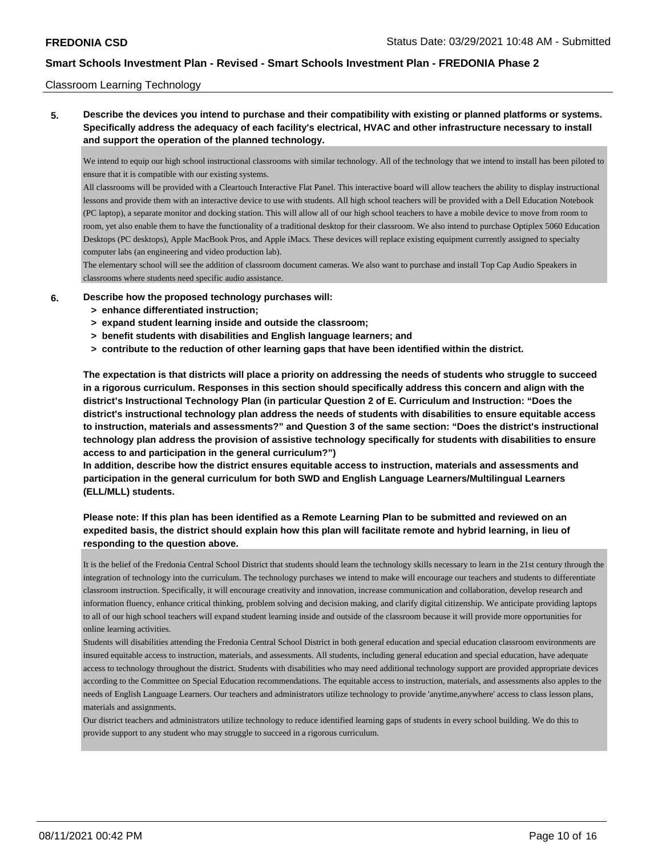#### Classroom Learning Technology

**5. Describe the devices you intend to purchase and their compatibility with existing or planned platforms or systems. Specifically address the adequacy of each facility's electrical, HVAC and other infrastructure necessary to install and support the operation of the planned technology.**

We intend to equip our high school instructional classrooms with similar technology. All of the technology that we intend to install has been piloted to ensure that it is compatible with our existing systems.

All classrooms will be provided with a Cleartouch Interactive Flat Panel. This interactive board will allow teachers the ability to display instructional lessons and provide them with an interactive device to use with students. All high school teachers will be provided with a Dell Education Notebook (PC laptop), a separate monitor and docking station. This will allow all of our high school teachers to have a mobile device to move from room to room, yet also enable them to have the functionality of a traditional desktop for their classroom. We also intend to purchase Optiplex 5060 Education Desktops (PC desktops), Apple MacBook Pros, and Apple iMacs. These devices will replace existing equipment currently assigned to specialty computer labs (an engineering and video production lab).

The elementary school will see the addition of classroom document cameras. We also want to purchase and install Top Cap Audio Speakers in classrooms where students need specific audio assistance.

#### **6. Describe how the proposed technology purchases will:**

- **> enhance differentiated instruction;**
- **> expand student learning inside and outside the classroom;**
- **> benefit students with disabilities and English language learners; and**
- **> contribute to the reduction of other learning gaps that have been identified within the district.**

**The expectation is that districts will place a priority on addressing the needs of students who struggle to succeed in a rigorous curriculum. Responses in this section should specifically address this concern and align with the district's Instructional Technology Plan (in particular Question 2 of E. Curriculum and Instruction: "Does the district's instructional technology plan address the needs of students with disabilities to ensure equitable access to instruction, materials and assessments?" and Question 3 of the same section: "Does the district's instructional technology plan address the provision of assistive technology specifically for students with disabilities to ensure access to and participation in the general curriculum?")**

**In addition, describe how the district ensures equitable access to instruction, materials and assessments and participation in the general curriculum for both SWD and English Language Learners/Multilingual Learners (ELL/MLL) students.**

# **Please note: If this plan has been identified as a Remote Learning Plan to be submitted and reviewed on an expedited basis, the district should explain how this plan will facilitate remote and hybrid learning, in lieu of responding to the question above.**

It is the belief of the Fredonia Central School District that students should learn the technology skills necessary to learn in the 21st century through the integration of technology into the curriculum. The technology purchases we intend to make will encourage our teachers and students to differentiate classroom instruction. Specifically, it will encourage creativity and innovation, increase communication and collaboration, develop research and information fluency, enhance critical thinking, problem solving and decision making, and clarify digital citizenship. We anticipate providing laptops to all of our high school teachers will expand student learning inside and outside of the classroom because it will provide more opportunities for online learning activities.

Students will disabilities attending the Fredonia Central School District in both general education and special education classroom environments are insured equitable access to instruction, materials, and assessments. All students, including general education and special education, have adequate access to technology throughout the district. Students with disabilities who may need additional technology support are provided appropriate devices according to the Committee on Special Education recommendations. The equitable access to instruction, materials, and assessments also apples to the needs of English Language Learners. Our teachers and administrators utilize technology to provide 'anytime,anywhere' access to class lesson plans, materials and assignments.

Our district teachers and administrators utilize technology to reduce identified learning gaps of students in every school building. We do this to provide support to any student who may struggle to succeed in a rigorous curriculum.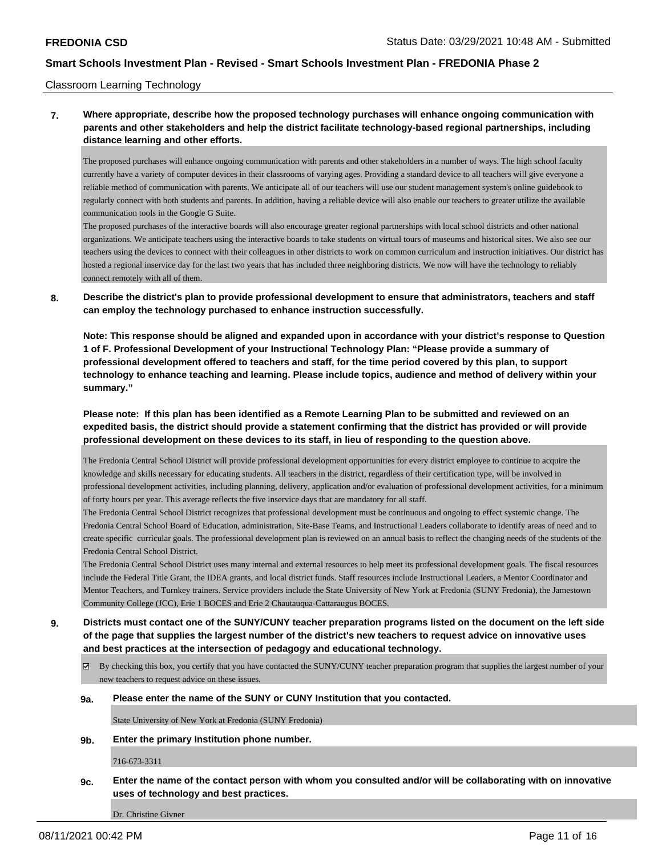#### Classroom Learning Technology

# **7. Where appropriate, describe how the proposed technology purchases will enhance ongoing communication with parents and other stakeholders and help the district facilitate technology-based regional partnerships, including distance learning and other efforts.**

The proposed purchases will enhance ongoing communication with parents and other stakeholders in a number of ways. The high school faculty currently have a variety of computer devices in their classrooms of varying ages. Providing a standard device to all teachers will give everyone a reliable method of communication with parents. We anticipate all of our teachers will use our student management system's online guidebook to regularly connect with both students and parents. In addition, having a reliable device will also enable our teachers to greater utilize the available communication tools in the Google G Suite.

The proposed purchases of the interactive boards will also encourage greater regional partnerships with local school districts and other national organizations. We anticipate teachers using the interactive boards to take students on virtual tours of museums and historical sites. We also see our teachers using the devices to connect with their colleagues in other districts to work on common curriculum and instruction initiatives. Our district has hosted a regional inservice day for the last two years that has included three neighboring districts. We now will have the technology to reliably connect remotely with all of them.

**8. Describe the district's plan to provide professional development to ensure that administrators, teachers and staff can employ the technology purchased to enhance instruction successfully.**

**Note: This response should be aligned and expanded upon in accordance with your district's response to Question 1 of F. Professional Development of your Instructional Technology Plan: "Please provide a summary of professional development offered to teachers and staff, for the time period covered by this plan, to support technology to enhance teaching and learning. Please include topics, audience and method of delivery within your summary."**

**Please note: If this plan has been identified as a Remote Learning Plan to be submitted and reviewed on an expedited basis, the district should provide a statement confirming that the district has provided or will provide professional development on these devices to its staff, in lieu of responding to the question above.**

The Fredonia Central School District will provide professional development opportunities for every district employee to continue to acquire the knowledge and skills necessary for educating students. All teachers in the district, regardless of their certification type, will be involved in professional development activities, including planning, delivery, application and/or evaluation of professional development activities, for a minimum of forty hours per year. This average reflects the five inservice days that are mandatory for all staff.

The Fredonia Central School District recognizes that professional development must be continuous and ongoing to effect systemic change. The Fredonia Central School Board of Education, administration, Site-Base Teams, and Instructional Leaders collaborate to identify areas of need and to create specific curricular goals. The professional development plan is reviewed on an annual basis to reflect the changing needs of the students of the Fredonia Central School District.

The Fredonia Central School District uses many internal and external resources to help meet its professional development goals. The fiscal resources include the Federal Title Grant, the IDEA grants, and local district funds. Staff resources include Instructional Leaders, a Mentor Coordinator and Mentor Teachers, and Turnkey trainers. Service providers include the State University of New York at Fredonia (SUNY Fredonia), the Jamestown Community College (JCC), Erie 1 BOCES and Erie 2 Chautauqua-Cattaraugus BOCES.

- **9. Districts must contact one of the SUNY/CUNY teacher preparation programs listed on the document on the left side of the page that supplies the largest number of the district's new teachers to request advice on innovative uses and best practices at the intersection of pedagogy and educational technology.**
	- By checking this box, you certify that you have contacted the SUNY/CUNY teacher preparation program that supplies the largest number of your new teachers to request advice on these issues.

#### **9a. Please enter the name of the SUNY or CUNY Institution that you contacted.**

State University of New York at Fredonia (SUNY Fredonia)

**9b. Enter the primary Institution phone number.**

716-673-3311

**9c. Enter the name of the contact person with whom you consulted and/or will be collaborating with on innovative uses of technology and best practices.**

Dr. Christine Givner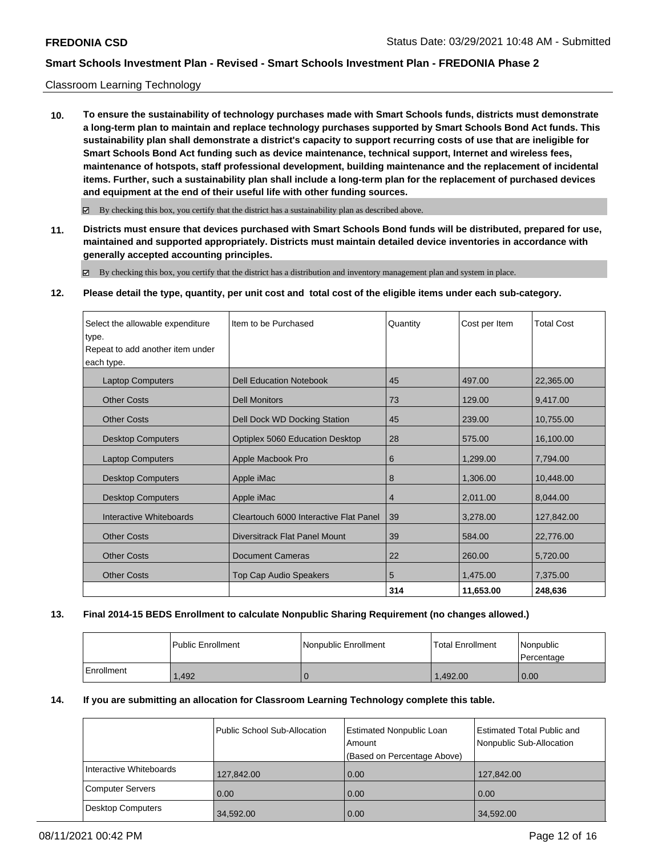#### Classroom Learning Technology

**10. To ensure the sustainability of technology purchases made with Smart Schools funds, districts must demonstrate a long-term plan to maintain and replace technology purchases supported by Smart Schools Bond Act funds. This sustainability plan shall demonstrate a district's capacity to support recurring costs of use that are ineligible for Smart Schools Bond Act funding such as device maintenance, technical support, Internet and wireless fees, maintenance of hotspots, staff professional development, building maintenance and the replacement of incidental items. Further, such a sustainability plan shall include a long-term plan for the replacement of purchased devices and equipment at the end of their useful life with other funding sources.**

 $\boxtimes$  By checking this box, you certify that the district has a sustainability plan as described above.

**11. Districts must ensure that devices purchased with Smart Schools Bond funds will be distributed, prepared for use, maintained and supported appropriately. Districts must maintain detailed device inventories in accordance with generally accepted accounting principles.**

By checking this box, you certify that the district has a distribution and inventory management plan and system in place.

#### **12. Please detail the type, quantity, per unit cost and total cost of the eligible items under each sub-category.**

| Select the allowable expenditure | Item to be Purchased                   | Quantity       | Cost per Item | <b>Total Cost</b> |
|----------------------------------|----------------------------------------|----------------|---------------|-------------------|
| type.                            |                                        |                |               |                   |
| Repeat to add another item under |                                        |                |               |                   |
| each type.                       |                                        |                |               |                   |
| <b>Laptop Computers</b>          | <b>Dell Education Notebook</b>         | 45             | 497.00        | 22,365.00         |
| <b>Other Costs</b>               | <b>Dell Monitors</b>                   | 73             | 129.00        | 9,417.00          |
| <b>Other Costs</b>               | Dell Dock WD Docking Station           | 45             | 239.00        | 10,755.00         |
| <b>Desktop Computers</b>         | <b>Optiplex 5060 Education Desktop</b> | 28             | 575.00        | 16.100.00         |
| <b>Laptop Computers</b>          | Apple Macbook Pro                      | 6              | 1.299.00      | 7,794.00          |
| <b>Desktop Computers</b>         | Apple iMac                             | 8              | 1,306.00      | 10,448.00         |
| <b>Desktop Computers</b>         | Apple <i>iMac</i>                      | $\overline{4}$ | 2,011.00      | 8,044.00          |
| Interactive Whiteboards          | Cleartouch 6000 Interactive Flat Panel | 39             | 3,278.00      | 127,842.00        |
| <b>Other Costs</b>               | Diversitrack Flat Panel Mount          | 39             | 584.00        | 22,776.00         |
| <b>Other Costs</b>               | <b>Document Cameras</b>                | 22             | 260.00        | 5,720.00          |
| <b>Other Costs</b>               | <b>Top Cap Audio Speakers</b>          | 5              | 1,475.00      | 7,375.00          |
|                                  |                                        | 314            | 11,653.00     | 248,636           |

#### **13. Final 2014-15 BEDS Enrollment to calculate Nonpublic Sharing Requirement (no changes allowed.)**

|            | l Public Enrollment | l Nonpublic Enrollment | <b>Total Enrollment</b> | Nonpublic<br>Percentage |
|------------|---------------------|------------------------|-------------------------|-------------------------|
| Enrollment | .492                |                        | .492.00                 | 0.00                    |

### **14. If you are submitting an allocation for Classroom Learning Technology complete this table.**

|                          | Public School Sub-Allocation | <b>Estimated Nonpublic Loan</b><br>Amount<br>(Based on Percentage Above) | Estimated Total Public and<br>Nonpublic Sub-Allocation |
|--------------------------|------------------------------|--------------------------------------------------------------------------|--------------------------------------------------------|
| Interactive Whiteboards  | 127,842.00                   | 0.00                                                                     | 127,842.00                                             |
| <b>Computer Servers</b>  | 0.00                         | 0.00                                                                     | 0.00                                                   |
| <b>Desktop Computers</b> | 34,592.00                    | 0.00                                                                     | 34,592.00                                              |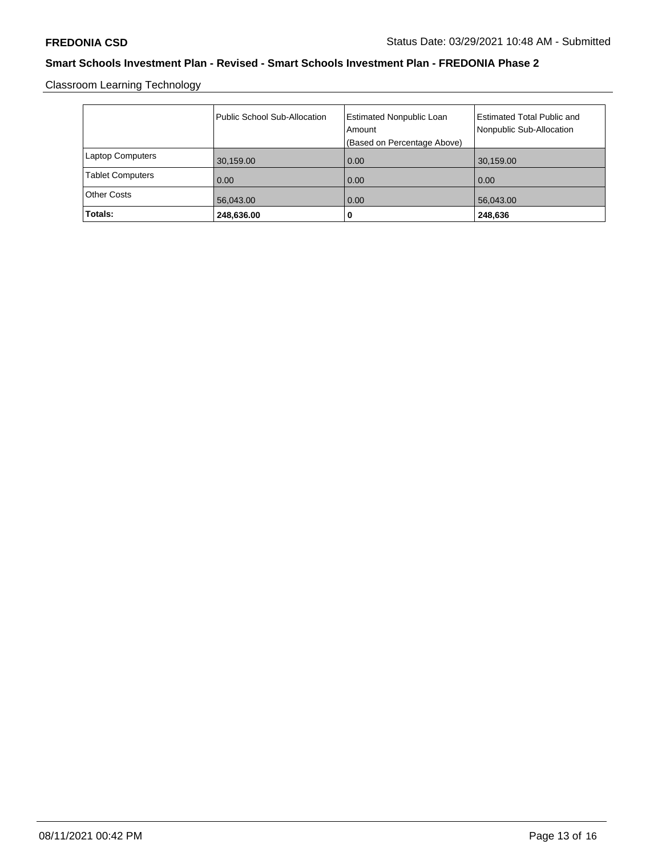Classroom Learning Technology

|                         | Public School Sub-Allocation | <b>Estimated Nonpublic Loan</b><br>Amount<br>(Based on Percentage Above) | <b>Estimated Total Public and</b><br>Nonpublic Sub-Allocation |
|-------------------------|------------------------------|--------------------------------------------------------------------------|---------------------------------------------------------------|
| <b>Laptop Computers</b> | 30,159.00                    | 0.00                                                                     | 30,159.00                                                     |
| <b>Tablet Computers</b> | 0.00                         | 0.00                                                                     | 0.00                                                          |
| <b>Other Costs</b>      | 56,043.00                    | 0.00                                                                     | 56,043.00                                                     |
| Totals:                 | 248,636.00                   | υ                                                                        | 248,636                                                       |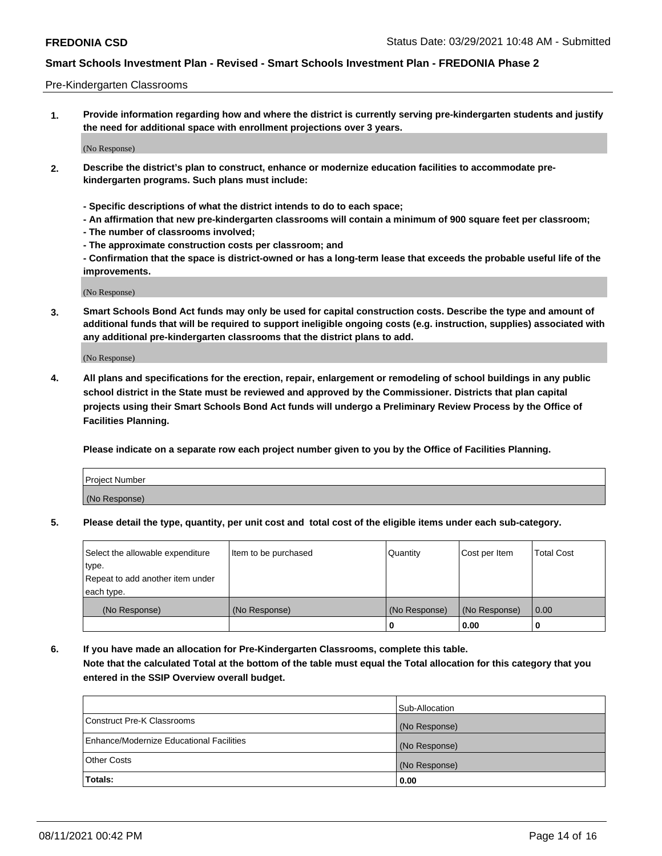#### Pre-Kindergarten Classrooms

**1. Provide information regarding how and where the district is currently serving pre-kindergarten students and justify the need for additional space with enrollment projections over 3 years.**

(No Response)

- **2. Describe the district's plan to construct, enhance or modernize education facilities to accommodate prekindergarten programs. Such plans must include:**
	- **Specific descriptions of what the district intends to do to each space;**
	- **An affirmation that new pre-kindergarten classrooms will contain a minimum of 900 square feet per classroom;**
	- **The number of classrooms involved;**
	- **The approximate construction costs per classroom; and**
	- **Confirmation that the space is district-owned or has a long-term lease that exceeds the probable useful life of the improvements.**

(No Response)

**3. Smart Schools Bond Act funds may only be used for capital construction costs. Describe the type and amount of additional funds that will be required to support ineligible ongoing costs (e.g. instruction, supplies) associated with any additional pre-kindergarten classrooms that the district plans to add.**

(No Response)

**4. All plans and specifications for the erection, repair, enlargement or remodeling of school buildings in any public school district in the State must be reviewed and approved by the Commissioner. Districts that plan capital projects using their Smart Schools Bond Act funds will undergo a Preliminary Review Process by the Office of Facilities Planning.**

**Please indicate on a separate row each project number given to you by the Office of Facilities Planning.**

| Project Number |  |
|----------------|--|
| (No Response)  |  |
|                |  |

**5. Please detail the type, quantity, per unit cost and total cost of the eligible items under each sub-category.**

| Select the allowable expenditure | Item to be purchased | Quantity      | Cost per Item | <b>Total Cost</b> |
|----------------------------------|----------------------|---------------|---------------|-------------------|
| type.                            |                      |               |               |                   |
| Repeat to add another item under |                      |               |               |                   |
| each type.                       |                      |               |               |                   |
| (No Response)                    | (No Response)        | (No Response) | (No Response) | 0.00              |
|                                  |                      | U             | 0.00          |                   |

**6. If you have made an allocation for Pre-Kindergarten Classrooms, complete this table. Note that the calculated Total at the bottom of the table must equal the Total allocation for this category that you entered in the SSIP Overview overall budget.**

|                                          | Sub-Allocation |
|------------------------------------------|----------------|
| Construct Pre-K Classrooms               | (No Response)  |
| Enhance/Modernize Educational Facilities | (No Response)  |
| <b>Other Costs</b>                       | (No Response)  |
| Totals:                                  | 0.00           |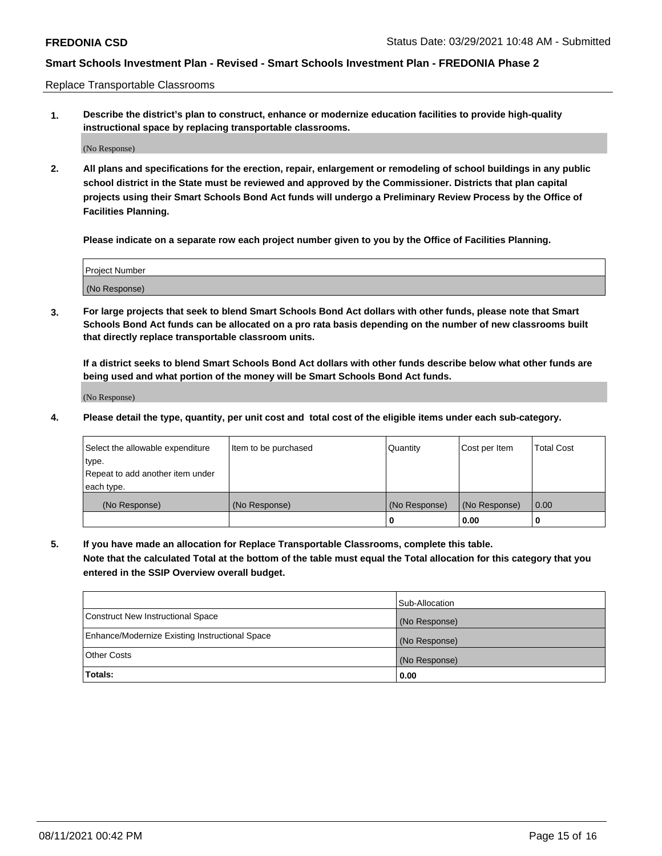Replace Transportable Classrooms

**1. Describe the district's plan to construct, enhance or modernize education facilities to provide high-quality instructional space by replacing transportable classrooms.**

(No Response)

**2. All plans and specifications for the erection, repair, enlargement or remodeling of school buildings in any public school district in the State must be reviewed and approved by the Commissioner. Districts that plan capital projects using their Smart Schools Bond Act funds will undergo a Preliminary Review Process by the Office of Facilities Planning.**

**Please indicate on a separate row each project number given to you by the Office of Facilities Planning.**

| Project Number |  |
|----------------|--|
|                |  |
|                |  |
|                |  |
| (No Response)  |  |
|                |  |
|                |  |

**3. For large projects that seek to blend Smart Schools Bond Act dollars with other funds, please note that Smart Schools Bond Act funds can be allocated on a pro rata basis depending on the number of new classrooms built that directly replace transportable classroom units.**

**If a district seeks to blend Smart Schools Bond Act dollars with other funds describe below what other funds are being used and what portion of the money will be Smart Schools Bond Act funds.**

(No Response)

**4. Please detail the type, quantity, per unit cost and total cost of the eligible items under each sub-category.**

| Select the allowable expenditure | Item to be purchased | Quantity      | Cost per Item | Total Cost |
|----------------------------------|----------------------|---------------|---------------|------------|
| ∣type.                           |                      |               |               |            |
| Repeat to add another item under |                      |               |               |            |
| each type.                       |                      |               |               |            |
| (No Response)                    | (No Response)        | (No Response) | (No Response) | 0.00       |
|                                  |                      | u             | 0.00          |            |

**5. If you have made an allocation for Replace Transportable Classrooms, complete this table. Note that the calculated Total at the bottom of the table must equal the Total allocation for this category that you entered in the SSIP Overview overall budget.**

|                                                | Sub-Allocation |
|------------------------------------------------|----------------|
| Construct New Instructional Space              | (No Response)  |
| Enhance/Modernize Existing Instructional Space | (No Response)  |
| Other Costs                                    | (No Response)  |
| Totals:                                        | 0.00           |